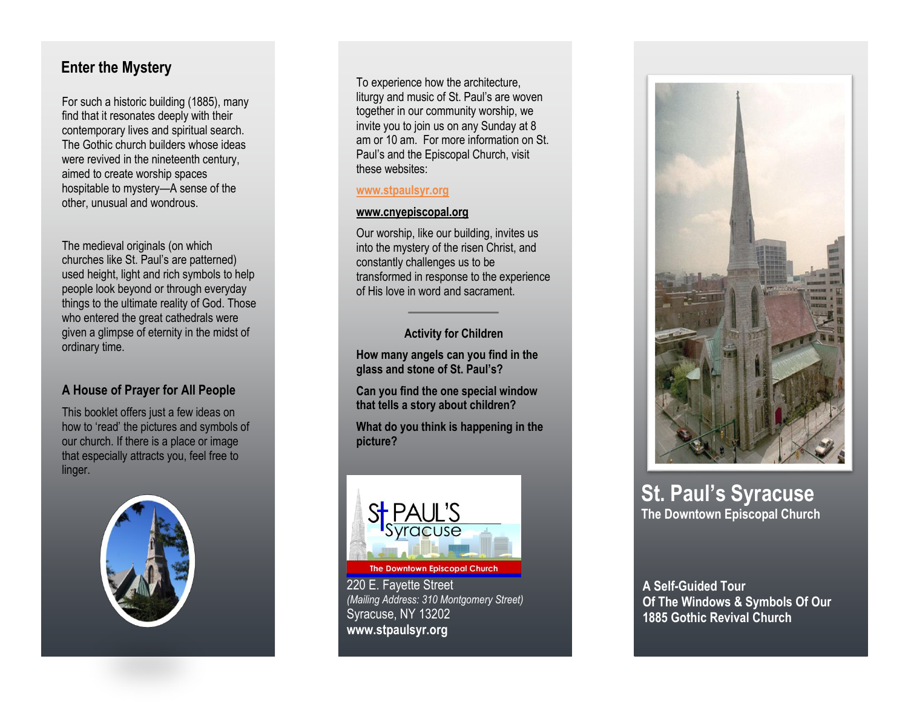## **Enter the Mystery**

For such a historic building (1885), many find that it resonates deeply with their contemporary lives and spiritual search. The Gothic church builders whose ideas were revived in the nineteenth century, aimed to create worship spaces hospitable to mystery —A sense of the other, unusual and wondrous.

The medieval originals (on which churches like St. Paul's are patterned) used height, light and rich symbols to help people look beyond or through everyday things to the ultimate reality of God. Those who entered the great cathedrals were given a glimpse of eternity in the midst of ordinary time.

### **A House of Prayer for All People**

This booklet offers just a few ideas on how to 'read' the pictures and symbols of our church. If there is a place or image that especially attracts you, feel free to linger.



To experience how the architecture, liturgy and music of St. Paul's are woven together in our community worship, we invite you to join us on any Sunday at 8 am or 10 am. For more information on St. Paul's and the Episcopal Church, visit these websites:

#### **[www.stpaulsyr.org](http://www.stpaulsyr.org/)**

#### **[www.cnyepiscopal.org](http://www.cnyepiscopal.org/)**

Our worship, like our building, invites us into the mystery of the risen Christ, and constantly challenges us to be transformed in response to the experience of His love in word and sacrament.

**Activity for Children**

**How many angels can you find in the glass and stone of St. Paul's?**

**Can you find the one special window that tells a story about children?** 

**What do you think is happening in the picture?**



**The Downtown Episcopal Church** 

220 E. Fayette Street *(Mailing Address: 310 Montgomery Street)* Syracuse, NY 13202 **www.stpaulsyr.org**



## **St. Paul 's Syracuse The Downtown Episcopal Church**

**A Self -Guided Tour Of The Windows & Symbols Of Our 1885 Gothic Revival Church**